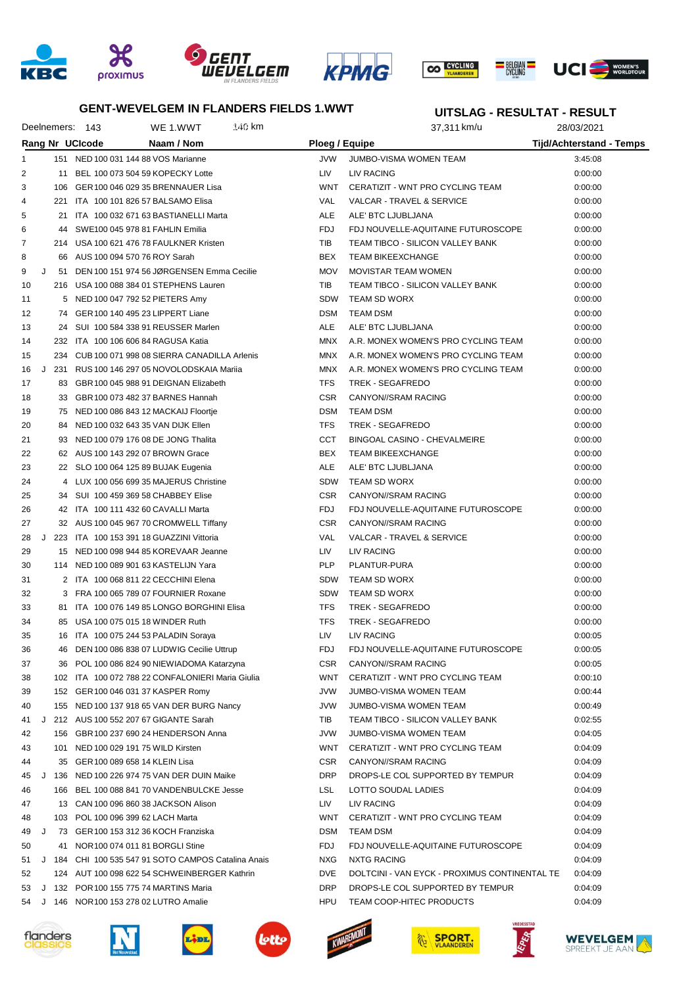







### **GENT-WEVELGEM IN FLANDERS FIELDS 1.WWT**

# **UITSLAG - RESULTAT - RESULT**

| Deelnemers: 143 |     |                                        | WE 1.WWT                                            | 140 km |                       | 37,311 km/u                                   | 28/03/2021                      |
|-----------------|-----|----------------------------------------|-----------------------------------------------------|--------|-----------------------|-----------------------------------------------|---------------------------------|
|                 |     | Rang Nr UCIcode                        | Naam / Nom                                          |        | <b>Ploeg / Equipe</b> |                                               | <b>Tijd/Achterstand - Temps</b> |
| $\mathbf{1}$    |     | 151 NED 100 031 144 88 VOS Marianne    |                                                     |        | <b>JVW</b>            | <b>JUMBO-VISMA WOMEN TEAM</b>                 | 3:45:08                         |
| 2               | 11  | BEL 100 073 504 59 KOPECKY Lotte       |                                                     |        | LIV                   | LIV RACING                                    | 0:00:00                         |
| 3               | 106 |                                        | GER 100 046 029 35 BRENNAUER Lisa                   |        | <b>WNT</b>            | CERATIZIT - WNT PRO CYCLING TEAM              | 0:00:00                         |
| 4               | 221 | ITA 100 101 826 57 BALSAMO Elisa       |                                                     |        | VAL                   | <b>VALCAR - TRAVEL &amp; SERVICE</b>          | 0:00:00                         |
| 5               |     |                                        | 21 ITA 100 032 671 63 BASTIANELLI Marta             |        | ALE                   | ALE' BTC LJUBLJANA                            | 0:00:00                         |
| 6               | 44  | SWE100 045 978 81 FAHLIN Emilia        |                                                     |        | <b>FDJ</b>            | FDJ NOUVELLE-AQUITAINE FUTUROSCOPE            | 0:00:00                         |
| 7               |     |                                        | 214 USA 100 621 476 78 FAULKNER Kristen             |        | TIB                   | TEAM TIBCO - SILICON VALLEY BANK              | 0:00:00                         |
| 8               |     | 66 AUS 100 094 570 76 ROY Sarah        |                                                     |        | <b>BEX</b>            | <b>TEAM BIKEEXCHANGE</b>                      | 0:00:00                         |
| J<br>9          | 51  |                                        | DEN 100 151 974 56 JØRGENSEN Emma Cecilie           |        | <b>MOV</b>            | <b>MOVISTAR TEAM WOMEN</b>                    | 0:00:00                         |
| 10              |     |                                        | 216 USA 100 088 384 01 STEPHENS Lauren              |        | TIB                   | TEAM TIBCO - SILICON VALLEY BANK              | 0:00:00                         |
| 11              |     | 5 NED 100 047 792 52 PIETERS Amy       |                                                     |        | <b>SDW</b>            | <b>TEAM SD WORX</b>                           | 0:00:00                         |
| 12              | 74  | GER 100 140 495 23 LIPPERT Liane       |                                                     |        | <b>DSM</b>            | <b>TEAM DSM</b>                               | 0:00:00                         |
| 13              | 24  |                                        | SUI 100 584 338 91 REUSSER Marlen                   |        | ALE                   | ALE' BTC LJUBLJANA                            | 0:00:00                         |
| 14              |     | 232 ITA 100 106 606 84 RAGUSA Katia    |                                                     |        | <b>MNX</b>            | A.R. MONEX WOMEN'S PRO CYCLING TEAM           | 0:00:00                         |
| 15              | 234 |                                        | CUB 100 071 998 08 SIERRA CANADILLA Arlenis         |        | <b>MNX</b>            | A.R. MONEX WOMEN'S PRO CYCLING TEAM           | 0:00:00                         |
| J<br>16         | 231 |                                        | RUS 100 146 297 05 NOVOLODSKAIA Marija              |        | <b>MNX</b>            | A.R. MONEX WOMEN'S PRO CYCLING TEAM           | 0:00:00                         |
| 17              | 83. |                                        | GBR 100 045 988 91 DEIGNAN Elizabeth                |        | <b>TFS</b>            | TREK - SEGAFREDO                              | 0:00:00                         |
| 18              | 33  |                                        | GBR 100 073 482 37 BARNES Hannah                    |        | <b>CSR</b>            | CANYON//SRAM RACING                           | 0:00:00                         |
| 19              |     |                                        | 75 NED 100 086 843 12 MACKAIJ Floortje              |        | <b>DSM</b>            | <b>TEAM DSM</b>                               | 0:00:00                         |
| 20              | 84  | NED 100 032 643 35 VAN DIJK Ellen      |                                                     |        | <b>TFS</b>            | TREK - SEGAFREDO                              | 0:00:00                         |
| 21              |     |                                        | 93 NED 100 079 176 08 DE JONG Thalita               |        | CCT                   | BINGOAL CASINO - CHEVALMEIRE                  | 0:00:00                         |
| 22              |     | 62 AUS 100 143 292 07 BROWN Grace      |                                                     |        | BEX                   | <b>TEAM BIKEEXCHANGE</b>                      | 0:00:00                         |
| 23              |     | 22 SLO 100 064 125 89 BUJAK Eugenia    |                                                     |        | ALE                   | ALE' BTC LJUBLJANA                            | 0:00:00                         |
| 24              |     |                                        | 4 LUX 100 056 699 35 MAJERUS Christine              |        | <b>SDW</b>            | TEAM SD WORX                                  | 0:00:00                         |
| 25              |     |                                        |                                                     |        | <b>CSR</b>            | CANYON//SRAM RACING                           |                                 |
| 26              |     | 34 SUI 100 459 369 58 CHABBEY Elise    |                                                     |        | FDJ                   | FDJ NOUVELLE-AQUITAINE FUTUROSCOPE            | 0:00:00                         |
|                 |     | 42 ITA 100 111 432 60 CAVALLI Marta    |                                                     |        | <b>CSR</b>            | CANYON//SRAM RACING                           | 0:00:00                         |
| 27<br>J         |     |                                        | 32 AUS 100 045 967 70 CROMWELL Tiffany              |        |                       |                                               | 0:00:00                         |
| 28              | 223 |                                        | ITA 100 153 391 18 GUAZZINI Vittoria                |        | VAL                   | <b>VALCAR - TRAVEL &amp; SERVICE</b>          | 0:00:00                         |
| 29              | 15  |                                        | NED 100 098 944 85 KOREVAAR Jeanne                  |        | LIV                   | LIV RACING                                    | 0:00:00                         |
| 30              | 114 |                                        | NED 100 089 901 63 KASTELIJN Yara                   |        | <b>PLP</b>            | PLANTUR-PURA                                  | 0:00:00                         |
| 31              |     | 2 ITA 100 068 811 22 CECCHINI Elena    |                                                     |        | <b>SDW</b>            | TEAM SD WORX                                  | 0:00:00                         |
| 32              |     |                                        | 3 FRA 100 065 789 07 FOURNIER Roxane                |        | <b>SDW</b>            | <b>TEAM SD WORX</b>                           | 0:00:00                         |
| 33              | 81. |                                        | ITA 100 076 149 85 LONGO BORGHINI Elisa             |        | <b>TFS</b>            | TREK - SEGAFREDO                              | 0:00:00                         |
| 34              | 85  | USA 100 075 015 18 WINDER Ruth         |                                                     |        | <b>TFS</b>            | TREK - SEGAFREDO                              | 0:00:00                         |
| 35              |     | 16 ITA 100 075 244 53 PALADIN Soraya   |                                                     |        | LIV                   | <b>LIV RACING</b>                             | 0:00:05                         |
| 36              | 46  |                                        | DEN 100 086 838 07 LUDWIG Cecilie Uttrup            |        | FDJ                   | FDJ NOUVELLE-AQUITAINE FUTUROSCOPE            | 0:00:05                         |
| 37              | 36  |                                        | POL 100 086 824 90 NIEWIADOMA Katarzyna             |        | <b>CSR</b>            | CANYON//SRAM RACING                           | 0:00:05                         |
| 38              |     |                                        | 102 ITA 100 072 788 22 CONFALONIERI Maria Giulia    |        | WNT                   | CERATIZIT - WNT PRO CYCLING TEAM              | 0:00:10                         |
| 39              |     | 152 GER 100 046 031 37 KASPER Romy     |                                                     |        | <b>JVW</b>            | JUMBO-VISMA WOMEN TEAM                        | 0:00:44                         |
| 40              |     |                                        | 155 NED 100 137 918 65 VAN DER BURG Nancy           |        | <b>JVW</b>            | <b>JUMBO-VISMA WOMEN TEAM</b>                 | 0:00:49                         |
| 41              |     | J 212 AUS 100 552 207 67 GIGANTE Sarah |                                                     |        | TIB                   | TEAM TIBCO - SILICON VALLEY BANK              | 0:02:55                         |
| 42              |     |                                        | 156 GBR 100 237 690 24 HENDERSON Anna               |        | <b>JVW</b>            | JUMBO-VISMA WOMEN TEAM                        | 0:04:05                         |
| 43              |     | 101 NED 100 029 191 75 WILD Kirsten    |                                                     |        | WNT                   | CERATIZIT - WNT PRO CYCLING TEAM              | 0:04:09                         |
| 44              |     | 35 GER 100 089 658 14 KLEIN Lisa       |                                                     |        | <b>CSR</b>            | CANYON//SRAM RACING                           | 0:04:09                         |
| 45              |     |                                        | J 136 NED 100 226 974 75 VAN DER DUIN Maike         |        | <b>DRP</b>            | DROPS-LE COL SUPPORTED BY TEMPUR              | 0:04:09                         |
| 46              |     |                                        | 166 BEL 100 088 841 70 VANDENBULCKE Jesse           |        | <b>LSL</b>            | LOTTO SOUDAL LADIES                           | 0:04:09                         |
| 47              |     |                                        | 13 CAN 100 096 860 38 JACKSON Alison                |        | LIV                   | LIV RACING                                    | 0:04:09                         |
| 48              |     | 103 POL 100 096 399 62 LACH Marta      |                                                     |        | WNT                   | CERATIZIT - WNT PRO CYCLING TEAM              | 0:04:09                         |
| 49<br>J         |     | 73 GER 100 153 312 36 KOCH Franziska   |                                                     |        | <b>DSM</b>            | <b>TEAM DSM</b>                               | 0:04:09                         |
| 50              | 41  | NOR 100 074 011 81 BORGLI Stine        |                                                     |        | FDJ                   | FDJ NOUVELLE-AQUITAINE FUTUROSCOPE            | 0:04:09                         |
| 51              |     |                                        | J 184 CHI 100 535 547 91 SOTO CAMPOS Catalina Anais |        | <b>NXG</b>            | <b>NXTG RACING</b>                            | 0:04:09                         |
| 52              |     |                                        | 124 AUT 100 098 622 54 SCHWEINBERGER Kathrin        |        | <b>DVE</b>            | DOLTCINI - VAN EYCK - PROXIMUS CONTINENTAL TE | 0:04:09                         |
| 53              |     | J 132 POR 100 155 775 74 MARTINS Maria |                                                     |        | <b>DRP</b>            | DROPS-LE COL SUPPORTED BY TEMPUR              | 0:04:09                         |
| 54              |     | J 146 NOR 100 153 278 02 LUTRO Amalie  |                                                     |        | HPU                   | TEAM COOP-HITEC PRODUCTS                      | 0:04:09                         |





Lidl.









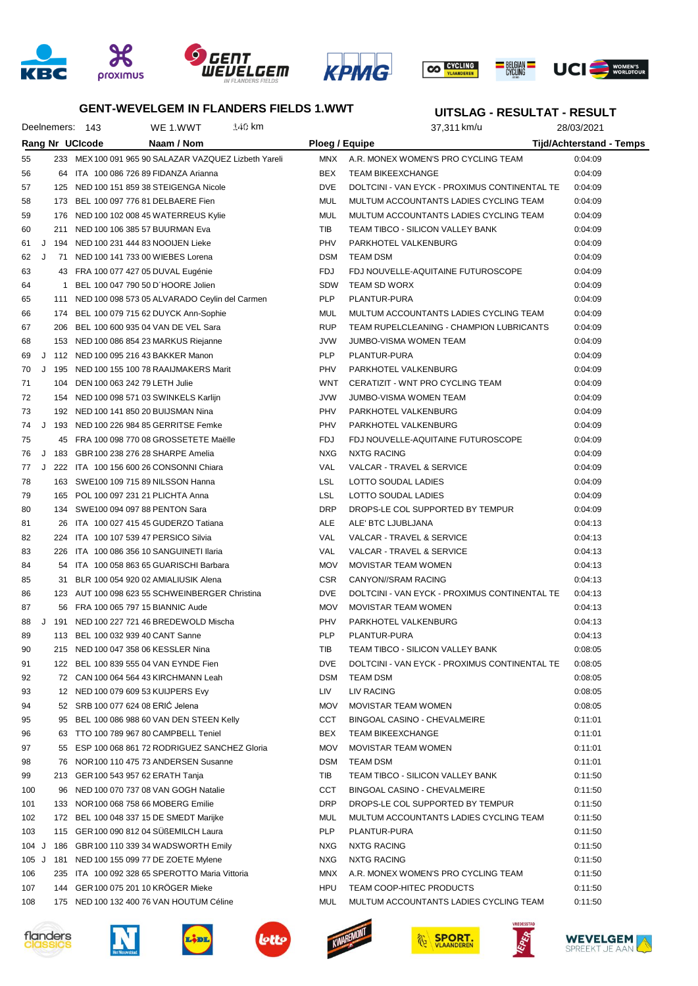







## **GENT-WEVELGEM IN FLANDERS FIELDS 1.WWT**

#### **UITSLAG - RESULTAT - RESULT**

|       |   |         | Deelnemers: 143                        | WE 1.WWT                                              | 140 km |                | 37,311 km/u                                   | 28/03/2021                      |  |
|-------|---|---------|----------------------------------------|-------------------------------------------------------|--------|----------------|-----------------------------------------------|---------------------------------|--|
|       |   |         | Rang Nr UCIcode                        | Naam / Nom                                            |        | Ploeg / Equipe |                                               | <b>Tijd/Achterstand - Temps</b> |  |
| 55    |   |         |                                        | 233 MEX 100 091 965 90 SALAZAR VAZQUEZ Lizbeth Yareli |        | MNX            | A.R. MONEX WOMEN'S PRO CYCLING TEAM           | 0:04:09                         |  |
| 56    |   |         |                                        | 64 ITA 100 086 726 89 FIDANZA Arianna                 |        | BEX            | <b>TEAM BIKEEXCHANGE</b>                      | 0:04:09                         |  |
| 57    |   |         |                                        | 125 NED 100 151 859 38 STEIGENGA Nicole               |        | <b>DVE</b>     | DOLTCINI - VAN EYCK - PROXIMUS CONTINENTAL TE | 0:04:09                         |  |
| 58    |   |         | 173 BEL 100 097 776 81 DELBAERE Fien   |                                                       |        | MUL            | MULTUM ACCOUNTANTS LADIES CYCLING TEAM        | 0:04:09                         |  |
| 59    |   |         |                                        | 176 NED 100 102 008 45 WATERREUS Kylie                |        | MUL            | MULTUM ACCOUNTANTS LADIES CYCLING TEAM        | 0:04:09                         |  |
| 60    |   |         | 211 NED 100 106 385 57 BUURMAN Eva     |                                                       |        | TIB            | TEAM TIBCO - SILICON VALLEY BANK              | 0:04:09                         |  |
| 61    |   |         | J 194 NED 100 231 444 83 NOOIJEN Lieke |                                                       |        | PHV            | PARKHOTEL VALKENBURG                          | 0:04:09                         |  |
| 62    | J |         | 71 NED 100 141 733 00 WIEBES Lorena    |                                                       |        | <b>DSM</b>     | TEAM DSM                                      | 0:04:09                         |  |
| 63    |   |         | 43 FRA 100 077 427 05 DUVAL Eugénie    |                                                       |        | <b>FDJ</b>     | FDJ NOUVELLE-AQUITAINE FUTUROSCOPE            | 0:04:09                         |  |
| 64    |   |         | 1 BEL 100 047 790 50 D'HOORE Jolien    |                                                       |        | SDW            | <b>TEAM SD WORX</b>                           | 0:04:09                         |  |
| 65    |   |         |                                        | 111 NED 100 098 573 05 ALVARADO Ceylin del Carmen     |        | <b>PLP</b>     | PLANTUR-PURA                                  | 0:04:09                         |  |
| 66    |   |         |                                        | 174 BEL 100 079 715 62 DUYCK Ann-Sophie               |        | MUL            | MULTUM ACCOUNTANTS LADIES CYCLING TEAM        | 0:04:09                         |  |
| 67    |   |         |                                        | 206 BEL 100 600 935 04 VAN DE VEL Sara                |        | <b>RUP</b>     | TEAM RUPELCLEANING - CHAMPION LUBRICANTS      | 0:04:09                         |  |
| 68    |   |         |                                        | 153 NED 100 086 854 23 MARKUS Riejanne                |        | JVW            | JUMBO-VISMA WOMEN TEAM                        | 0:04:09                         |  |
| 69    |   |         | J 112 NED 100 095 216 43 BAKKER Manon  |                                                       |        | <b>PLP</b>     | PLANTUR-PURA                                  | 0:04:09                         |  |
| 70    |   |         |                                        | J 195 NED 100 155 100 78 RAAIJMAKERS Marit            |        | PHV            | PARKHOTEL VALKENBURG                          | 0:04:09                         |  |
| 71    |   |         | 104 DEN 100 063 242 79 LETH Julie      |                                                       |        | WNT            | CERATIZIT - WNT PRO CYCLING TEAM              | 0:04:09                         |  |
| 72    |   |         |                                        | 154 NED 100 098 571 03 SWINKELS Karlijn               |        | JVW            | JUMBO-VISMA WOMEN TEAM                        | 0:04:09                         |  |
| 73    |   |         | 192 NED 100 141 850 20 BUIJSMAN Nina   |                                                       |        | PHV            | PARKHOTEL VALKENBURG                          | 0:04:09                         |  |
| 74    |   |         |                                        | J 193 NED 100 226 984 85 GERRITSE Femke               |        | PHV            | PARKHOTEL VALKENBURG                          | 0:04:09                         |  |
| 75    |   |         |                                        | 45 FRA 100 098 770 08 GROSSETETE Maëlle               |        | <b>FDJ</b>     | FDJ NOUVELLE-AQUITAINE FUTUROSCOPE            | 0:04:09                         |  |
| 76    |   | $J$ 183 | GBR 100 238 276 28 SHARPE Amelia       |                                                       |        | NXG            | NXTG RACING                                   | 0:04:09                         |  |
| 77    | J |         |                                        | 222 ITA 100 156 600 26 CONSONNI Chiara                |        | VAL            | VALCAR - TRAVEL & SERVICE                     | 0:04:09                         |  |
| 78    |   |         | 163 SWE100 109 715 89 NILSSON Hanna    |                                                       |        | LSL            | LOTTO SOUDAL LADIES                           | 0:04:09                         |  |
| 79    |   |         | 165 POL 100 097 231 21 PLICHTA Anna    |                                                       |        | LSL            | LOTTO SOUDAL LADIES                           | 0:04:09                         |  |
| 80    |   |         | 134 SWE100 094 097 88 PENTON Sara      |                                                       |        | <b>DRP</b>     | DROPS-LE COL SUPPORTED BY TEMPUR              | 0:04:09                         |  |
| 81    |   | 26      |                                        | ITA 100 027 415 45 GUDERZO Tatiana                    |        | ALE            | ALE' BTC LJUBLJANA                            | 0:04:13                         |  |
| 82    |   |         | 224 ITA 100 107 539 47 PERSICO Silvia  |                                                       |        | VAL            | VALCAR - TRAVEL & SERVICE                     | 0:04:13                         |  |
| 83    |   | 226     |                                        | ITA 100 086 356 10 SANGUINETI Ilaria                  |        | VAL            | VALCAR - TRAVEL & SERVICE                     | 0:04:13                         |  |
| 84    |   | 54      |                                        | ITA 100 058 863 65 GUARISCHI Barbara                  |        | <b>MOV</b>     | MOVISTAR TEAM WOMEN                           | 0:04:13                         |  |
| 85    |   | 31      |                                        | BLR 100 054 920 02 AMIALIUSIK Alena                   |        | <b>CSR</b>     | CANYON//SRAM RACING                           | 0:04:13                         |  |
| 86    |   |         |                                        | 123 AUT 100 098 623 55 SCHWEINBERGER Christina        |        | <b>DVE</b>     | DOLTCINI - VAN EYCK - PROXIMUS CONTINENTAL TE | 0:04:13                         |  |
| 87    |   |         | 56 FRA 100 065 797 15 BIANNIC Aude     |                                                       |        | <b>MOV</b>     | <b>MOVISTAR TEAM WOMEN</b>                    | 0:04:13                         |  |
| 88    |   | J 191   |                                        | NED 100 227 721 46 BREDEWOLD Mischa                   |        | PHV            | PARKHOTEL VALKENBURG                          | 0:04:13                         |  |
| 89    |   |         | 113 BEL 100 032 939 40 CANT Sanne      |                                                       |        | <b>PLP</b>     | PLANTUR-PURA                                  | 0:04:13                         |  |
| 90    |   |         | 215 NED 100 047 358 06 KESSLER Nina    |                                                       |        | TIB            | TEAM TIBCO - SILICON VALLEY BANK              | 0:08:05                         |  |
| 91    |   |         |                                        | 122 BEL 100 839 555 04 VAN EYNDE Fien                 |        | <b>DVE</b>     | DOLTCINI - VAN EYCK - PROXIMUS CONTINENTAL TE | 0:08:05                         |  |
| 92    |   |         |                                        | 72 CAN 100 064 564 43 KIRCHMANN Leah                  |        | <b>DSM</b>     | <b>TEAM DSM</b>                               | 0:08:05                         |  |
| 93    |   |         | 12 NED 100 079 609 53 KUIJPERS Evy     |                                                       |        | LIV            | <b>LIV RACING</b>                             | 0:08:05                         |  |
| 94    |   |         | 52 SRB 100 077 624 08 ERIC Jelena      |                                                       |        | <b>MOV</b>     | <b>MOVISTAR TEAM WOMEN</b>                    | 0:08:05                         |  |
| 95    |   |         |                                        | 95 BEL 100 086 988 60 VAN DEN STEEN Kelly             |        | CCT            | BINGOAL CASINO - CHEVALMEIRE                  | 0:11:01                         |  |
| 96    |   |         |                                        | 63 TTO 100 789 967 80 CAMPBELL Teniel                 |        | BEX            | <b>TEAM BIKEEXCHANGE</b>                      | 0:11:01                         |  |
| 97    |   |         |                                        | 55 ESP 100 068 861 72 RODRIGUEZ SANCHEZ Gloria        |        | <b>MOV</b>     | MOVISTAR TEAM WOMEN                           | 0:11:01                         |  |
| 98    |   |         |                                        | 76 NOR 100 110 475 73 ANDERSEN Susanne                |        | <b>DSM</b>     | <b>TEAM DSM</b>                               | 0:11:01                         |  |
| 99    |   |         | 213 GER 100 543 957 62 ERATH Tanja     |                                                       |        | TIB            | TEAM TIBCO - SILICON VALLEY BANK              | 0:11:50                         |  |
| 100   |   | 96      |                                        | NED 100 070 737 08 VAN GOGH Natalie                   |        | CCT            | BINGOAL CASINO - CHEVALMEIRE                  | 0:11:50                         |  |
| 101   |   | 133     | NOR 100 068 758 66 MOBERG Emilie       |                                                       |        | DRP            | DROPS-LE COL SUPPORTED BY TEMPUR              | 0:11:50                         |  |
| 102   |   |         |                                        | 172 BEL 100 048 337 15 DE SMEDT Marijke               |        | MUL            | MULTUM ACCOUNTANTS LADIES CYCLING TEAM        | 0:11:50                         |  |
| 103   |   |         |                                        | 115 GER 100 090 812 04 SUßEMILCH Laura                |        | PLP            | PLANTUR-PURA                                  | 0:11:50                         |  |
| 104 J |   | 186     |                                        | GBR 100 110 339 34 WADSWORTH Emily                    |        | <b>NXG</b>     | <b>NXTG RACING</b>                            | 0:11:50                         |  |
| 105 J |   | 181     |                                        | NED 100 155 099 77 DE ZOETE Mylene                    |        | <b>NXG</b>     | <b>NXTG RACING</b>                            | 0:11:50                         |  |
| 106   |   | 235     |                                        | ITA 100 092 328 65 SPEROTTO Maria Vittoria            |        | <b>MNX</b>     | A.R. MONEX WOMEN'S PRO CYCLING TEAM           | 0:11:50                         |  |
| 107   |   |         | 144 GER 100 075 201 10 KROGER Mieke    |                                                       |        | HPU            | TEAM COOP-HITEC PRODUCTS                      | 0:11:50                         |  |
| 108   |   |         |                                        | 175 NED 100 132 400 76 VAN HOUTUM Céline              |        | MUL            | MULTUM ACCOUNTANTS LADIES CYCLING TEAM        | 0:11:50                         |  |